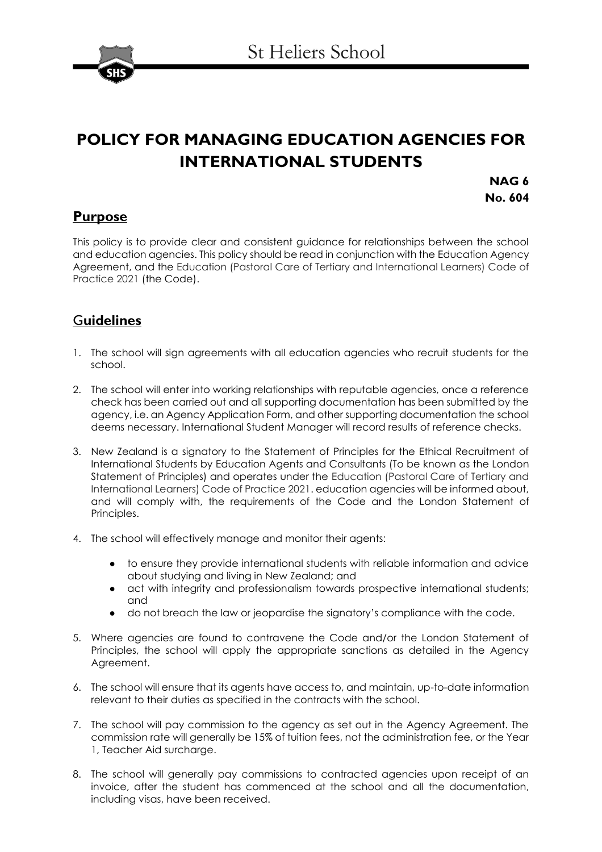

# **POLICY FOR MANAGING EDUCATION AGENCIES FOR INTERNATIONAL STUDENTS**

**NAG 6 No. 604**

## **Purpose**

This policy is to provide clear and consistent guidance for relationships between the school and education agencies. This policy should be read in conjunction with the Education Agency Agreement, and the Education (Pastoral Care of Tertiary and International Learners) Code of Practice 2021 (the Code).

## G**uidelines**

- 1. The school will sign agreements with all education agencies who recruit students for the school.
- 2. The school will enter into working relationships with reputable agencies, once a reference check has been carried out and all supporting documentation has been submitted by the agency, i.e. an Agency Application Form, and other supporting documentation the school deems necessary. International Student Manager will record results of reference checks.
- 3. New Zealand is a signatory to the Statement of Principles for the Ethical Recruitment of International Students by Education Agents and Consultants (To be known as the London Statement of Principles) and operates under the Education (Pastoral Care of Tertiary and International Learners) Code of Practice 2021. education agencies will be informed about, and will comply with, the requirements of the Code and the London Statement of Principles.
- 4. The school will effectively manage and monitor their agents:
	- to ensure they provide international students with reliable information and advice about studying and living in New Zealand; and
	- act with integrity and professionalism towards prospective international students; and
	- do not breach the law or jeopardise the signatory's compliance with the code.
- 5. Where agencies are found to contravene the Code and/or the London Statement of Principles, the school will apply the appropriate sanctions as detailed in the Agency Agreement.
- 6. The school will ensure that its agents have access to, and maintain, up-to-date information relevant to their duties as specified in the contracts with the school.
- 7. The school will pay commission to the agency as set out in the Agency Agreement. The commission rate will generally be 15% of tuition fees, not the administration fee, or the Year 1, Teacher Aid surcharge.
- 8. The school will generally pay commissions to contracted agencies upon receipt of an invoice, after the student has commenced at the school and all the documentation, including visas, have been received.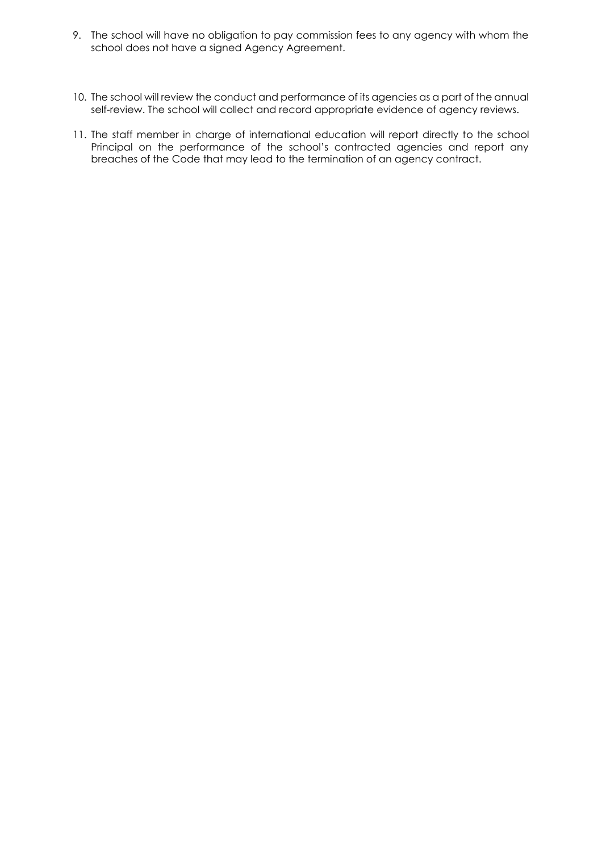- 9. The school will have no obligation to pay commission fees to any agency with whom the school does not have a signed Agency Agreement.
- 10. The school will review the conduct and performance of its agencies as a part of the annual self-review. The school will collect and record appropriate evidence of agency reviews.
- 11. The staff member in charge of international education will report directly to the school Principal on the performance of the school's contracted agencies and report any breaches of the Code that may lead to the termination of an agency contract.